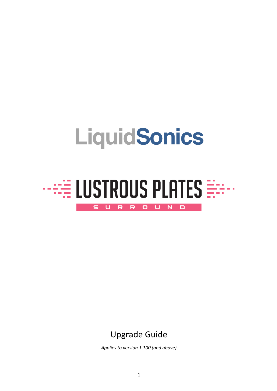# **LiquidSonics**



# Upgrade Guide

*Applies to version 1.100 (and above)*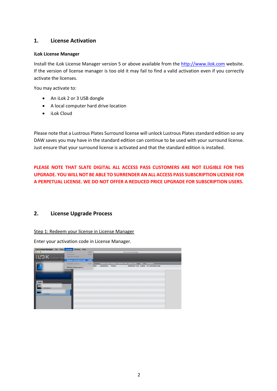## **1. License Activation**

#### **iLok License Manager**

Install the iLok License Manager version 5 or above available from the http://www.ilok.com website. If the version of license manager is too old it may fail to find a valid activation even if you correctly activate the licenses.

You may activate to:

- An iLok 2 or 3 USB dongle
- A local computer hard drive location
- iLok Cloud

Please note that a Lustrous Plates Surround license will unlock Lustrous Plates standard edition so any DAW saves you may have in the standard edition can continue to be used with your surround license. Just ensure that your surround license is activated and that the standard edition is installed.

**PLEASE NOTE THAT SLATE DIGITAL ALL ACCESS PASS CUSTOMERS ARE NOT ELIGIBLE FOR THIS UPGRADE. YOU WILL NOT BE ABLE TO SURRENDER AN ALL ACCESS PASS SUBSCRIPTION LICENSE FOR A PERPETUAL LICENSE. WE DO NOT OFFER A REDUCED PRICE UPGRADE FOR SUBSCRIPTION USERS.**

## **2. License Upgrade Process**

Step 1: Redeem your license in License Manager

Enter your activation code in License Manager.

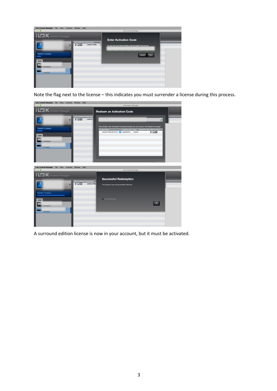

Note the flag next to the license – this indicates you must surrender a license during this process.

| <b>ILOK License Manager</b> File View Licenses Window Help                     | <b>ILok License Manager</b>                                                                                                                                                                                             |
|--------------------------------------------------------------------------------|-------------------------------------------------------------------------------------------------------------------------------------------------------------------------------------------------------------------------|
| <b>i L'3 K</b> License Manager                                                 | <b>Redeem an Activation Code</b>                                                                                                                                                                                        |
| elid Locations Product Na<br><b>IIDD</b><br>Lustrous<br>Operation in progress. | $\overline{\mathcal{L}}$<br>This activation code will deposit the following licenses into your account. Click Redeem to proceed.<br>on Date Valid Loc<br><b>ITOD</b><br>Lustrous Plates Surround   LiquidSonics License |
| 1 Activation                                                                   |                                                                                                                                                                                                                         |
| iLok License Manager File View Licenses Window Help                            |                                                                                                                                                                                                                         |
|                                                                                | <b>ILok License Manager</b>                                                                                                                                                                                             |
| <b>i LOK</b> License Manager                                                   | <b>Successful Redemption</b>                                                                                                                                                                                            |
| d Locations Product Name<br><b>NOR</b><br>Lustrous Plate<br>٠                  | The activation code was successfully redeemed.                                                                                                                                                                          |
| Operation in progress.                                                         | Do not show again                                                                                                                                                                                                       |
| conton                                                                         | $\propto$                                                                                                                                                                                                               |
| 1 Activation                                                                   |                                                                                                                                                                                                                         |
|                                                                                |                                                                                                                                                                                                                         |

A surround edition license is now in your account, but it must be activated.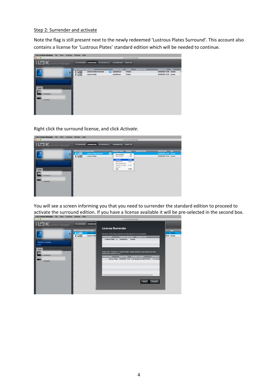#### Step 2: Surrender and activate

Note the flag is still present next to the newly redeemed 'Lustrous Plates Surround'. This account also contains a license for 'Lustrous Plates' standard edition which will be needed to continue.



Right click the surround license, and click *Activate*.



You will see a screen informing you that you need to surrender the standard edition to proceed to activate the surround edition. If you have a license available it will be pre-selected in the second box.